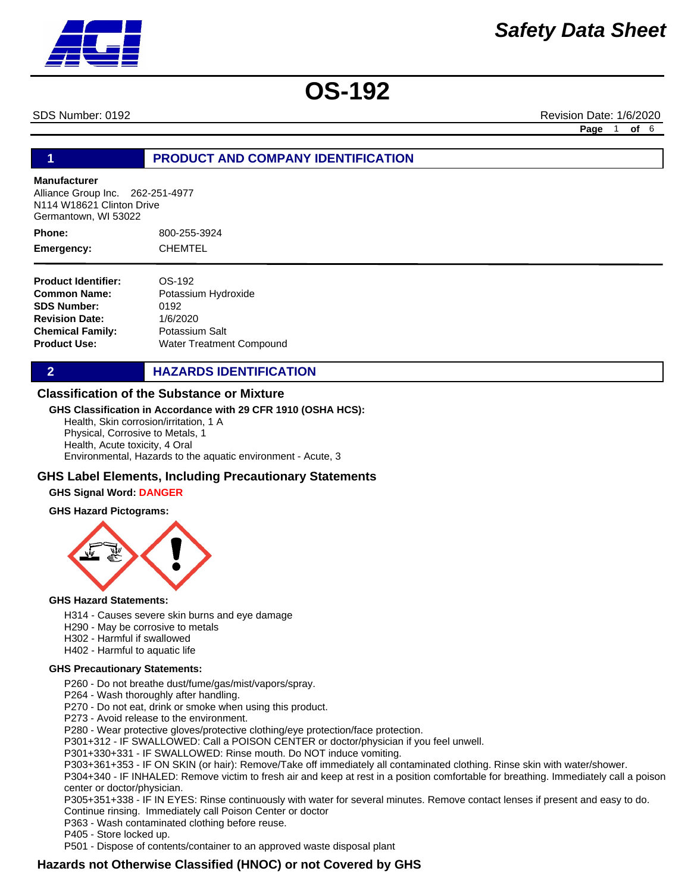SDS Number: 0192 **Revision Date: 1/6/2020** Revision Date: 1/6/2020

**Page** 1 **of** 6

## **1 PRODUCT AND COMPANY IDENTIFICATION**

### **Manufacturer**

Alliance Group Inc. 262-251-4977 N114 W18621 Clinton Drive Germantown, WI 53022

800-255-3924 CHEMTEL **Phone: Emergency:**

| <b>Product Identifier:</b> | OS-192                   |
|----------------------------|--------------------------|
| <b>Common Name:</b>        | Potassium Hydroxide      |
| <b>SDS Number:</b>         | 0192                     |
| <b>Revision Date:</b>      | 1/6/2020                 |
| <b>Chemical Family:</b>    | Potassium Salt           |
| <b>Product Use:</b>        | Water Treatment Compound |

# **2 HAZARDS IDENTIFICATION**

### **Classification of the Substance or Mixture**

### **GHS Classification in Accordance with 29 CFR 1910 (OSHA HCS):**

Health, Skin corrosion/irritation, 1 A Physical, Corrosive to Metals, 1 Health, Acute toxicity, 4 Oral Environmental, Hazards to the aquatic environment - Acute, 3

### **GHS Label Elements, Including Precautionary Statements**

### **GHS Signal Word: DANGER**

### **GHS Hazard Pictograms:**



### **GHS Hazard Statements:**

- H314 Causes severe skin burns and eye damage
- H290 May be corrosive to metals
- H302 Harmful if swallowed
- H402 Harmful to aquatic life

### **GHS Precautionary Statements:**

- P260 Do not breathe dust/fume/gas/mist/vapors/spray.
- P264 Wash thoroughly after handling.
- P270 Do not eat, drink or smoke when using this product.
- P273 Avoid release to the environment.

P280 - Wear protective gloves/protective clothing/eye protection/face protection.

P301+312 - IF SWALLOWED: Call a POISON CENTER or doctor/physician if you feel unwell.

- P301+330+331 IF SWALLOWED: Rinse mouth. Do NOT induce vomiting.
- P303+361+353 IF ON SKIN (or hair): Remove/Take off immediately all contaminated clothing. Rinse skin with water/shower.

P304+340 - IF INHALED: Remove victim to fresh air and keep at rest in a position comfortable for breathing. Immediately call a poison center or doctor/physician.

P305+351+338 - IF IN EYES: Rinse continuously with water for several minutes. Remove contact lenses if present and easy to do. Continue rinsing. Immediately call Poison Center or doctor

P363 - Wash contaminated clothing before reuse.

P405 - Store locked up.

P501 - Dispose of contents/container to an approved waste disposal plant

# **Hazards not Otherwise Classified (HNOC) or not Covered by GHS**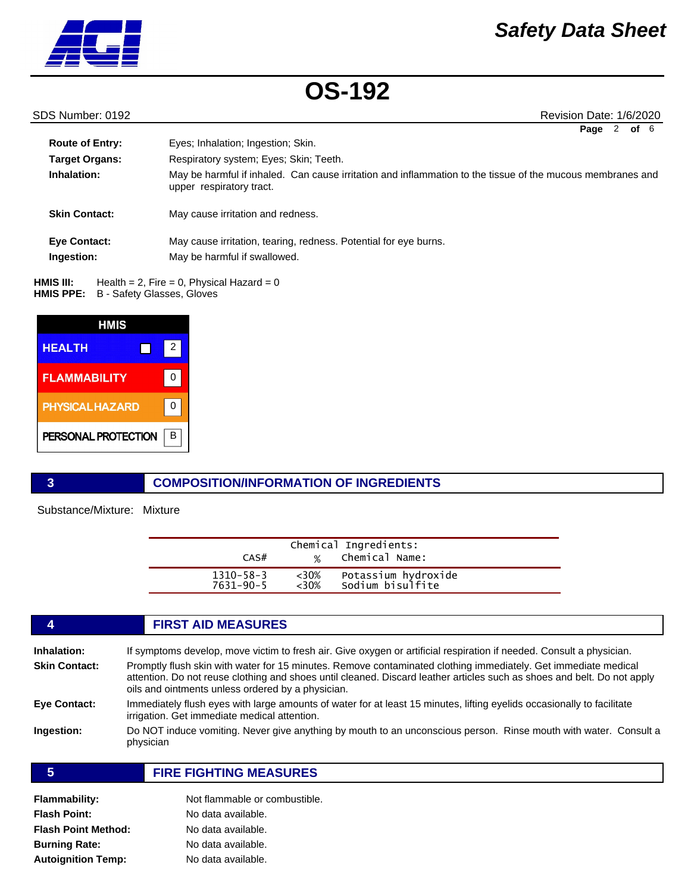

SDS Number: 0192 **Revision Date: 1/6/2020** 

| οf<br>Page | 6 |
|------------|---|
|------------|---|

| <b>Route of Entry:</b><br><b>Target Organs:</b><br>Inhalation: | Eyes; Inhalation; Ingestion; Skin.<br>Respiratory system; Eyes; Skin; Teeth.<br>May be harmful if inhaled. Can cause irritation and inflammation to the tissue of the mucous membranes and<br>upper respiratory tract. |
|----------------------------------------------------------------|------------------------------------------------------------------------------------------------------------------------------------------------------------------------------------------------------------------------|
| <b>Skin Contact:</b>                                           | May cause irritation and redness.                                                                                                                                                                                      |
| <b>Eve Contact:</b><br>Ingestion:                              | May cause irritation, tearing, redness. Potential for eye burns.<br>May be harmful if swallowed.                                                                                                                       |

Health =  $2$ , Fire =  $0$ , Physical Hazard =  $0$ **HMIS PPE:** B - Safety Glasses, Gloves **HMIS III:** 



# **3 COMPOSITION/INFORMATION OF INGREDIENTS**

Substance/Mixture: Mixture

| CAS#            | $\frac{9}{6}$ | Chemical Ingredients:<br>Chemical Name: |  |
|-----------------|---------------|-----------------------------------------|--|
| $1310 - 58 - 3$ | $<$ 30%       | Potassium hydroxide                     |  |
| $7631 - 90 - 5$ | $<30\%$       | Sodium bisulfite                        |  |

## **4 FIRST AID MEASURES Inhalation:** If symptoms develop, move victim to fresh air. Give oxygen or artificial respiration if needed. Consult a physician. **Skin Contact:** Promptly flush skin with water for 15 minutes. Remove contaminated clothing immediately. Get immediate medical attention. Do not reuse clothing and shoes until cleaned. Discard leather articles such as shoes and belt. Do not apply oils and ointments unless ordered by a physician. **Eye Contact:** Immediately flush eyes with large amounts of water for at least 15 minutes, lifting eyelids occasionally to facilitate irrigation. Get immediate medical attention. **Ingestion:** Do NOT induce vomiting. Never give anything by mouth to an unconscious person. Rinse mouth with water. Consult a physician

# **5 FIRE FIGHTING MEASURES**

| Flammability:        | Not flammable or combustible. |
|----------------------|-------------------------------|
| Flash Point:         | No data available.            |
| Flash Point Method:  | No data available.            |
| <b>Burning Rate:</b> | No data available.            |
| Autoignition Temp:   | No data available.            |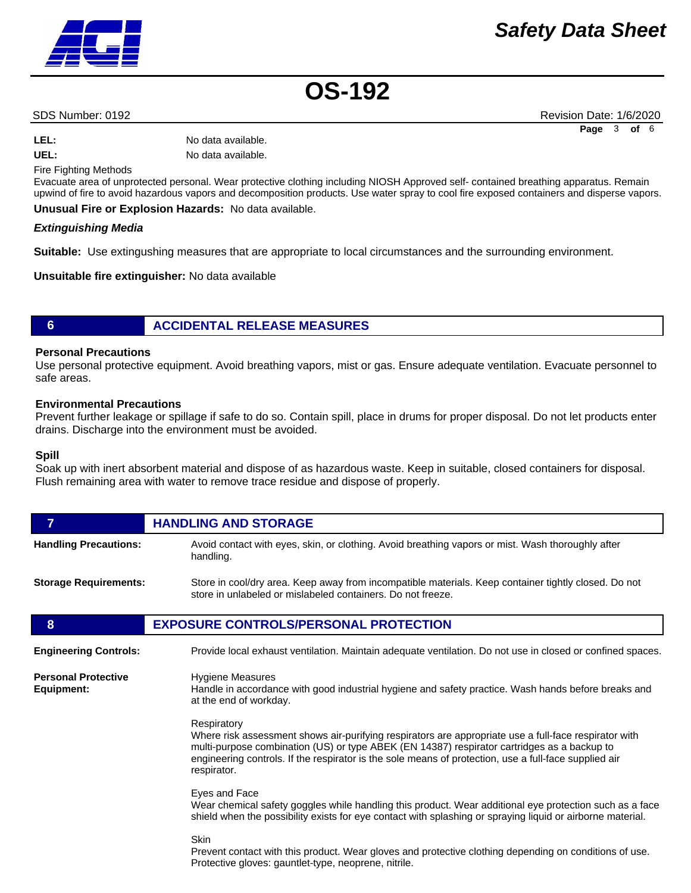# *Safety Data Sheet*

**OS-192**

SDS Number: 0192 **Revision Date: 1/6/2020** Revision Date: 1/6/2020

LEL: No data available.

**UEL:** No data available.

Fire Fighting Methods

Evacuate area of unprotected personal. Wear protective clothing including NIOSH Approved self- contained breathing apparatus. Remain upwind of fire to avoid hazardous vapors and decomposition products. Use water spray to cool fire exposed containers and disperse vapors.

**Unusual Fire or Explosion Hazards:** No data available.

### *Extinguishing Media*

**Suitable:** Use extingushing measures that are appropriate to local circumstances and the surrounding environment.

**Unsuitable fire extinguisher:** No data available

# **6 ACCIDENTAL RELEASE MEASURES**

### **Personal Precautions**

Use personal protective equipment. Avoid breathing vapors, mist or gas. Ensure adequate ventilation. Evacuate personnel to safe areas.

### **Environmental Precautions**

Prevent further leakage or spillage if safe to do so. Contain spill, place in drums for proper disposal. Do not let products enter drains. Discharge into the environment must be avoided.

### **Spill**

Soak up with inert absorbent material and dispose of as hazardous waste. Keep in suitable, closed containers for disposal. Flush remaining area with water to remove trace residue and dispose of properly.

| $\overline{7}$                           | <b>HANDLING AND STORAGE</b>                                                                                                                                                                                                                                                                                                                 |  |
|------------------------------------------|---------------------------------------------------------------------------------------------------------------------------------------------------------------------------------------------------------------------------------------------------------------------------------------------------------------------------------------------|--|
| <b>Handling Precautions:</b>             | Avoid contact with eyes, skin, or clothing. Avoid breathing vapors or mist. Wash thoroughly after<br>handling.                                                                                                                                                                                                                              |  |
| <b>Storage Requirements:</b>             | Store in cool/dry area. Keep away from incompatible materials. Keep container tightly closed. Do not<br>store in unlabeled or mislabeled containers. Do not freeze.                                                                                                                                                                         |  |
| 8                                        | <b>EXPOSURE CONTROLS/PERSONAL PROTECTION</b>                                                                                                                                                                                                                                                                                                |  |
| <b>Engineering Controls:</b>             | Provide local exhaust ventilation. Maintain adequate ventilation. Do not use in closed or confined spaces.                                                                                                                                                                                                                                  |  |
| <b>Personal Protective</b><br>Equipment: | <b>Hygiene Measures</b><br>Handle in accordance with good industrial hygiene and safety practice. Wash hands before breaks and<br>at the end of workday.                                                                                                                                                                                    |  |
|                                          | Respiratory<br>Where risk assessment shows air-purifying respirators are appropriate use a full-face respirator with<br>multi-purpose combination (US) or type ABEK (EN 14387) respirator cartridges as a backup to<br>engineering controls. If the respirator is the sole means of protection, use a full-face supplied air<br>respirator. |  |
|                                          | Eyes and Face<br>Wear chemical safety goggles while handling this product. Wear additional eye protection such as a face<br>shield when the possibility exists for eye contact with splashing or spraying liquid or airborne material.                                                                                                      |  |
|                                          | <b>Skin</b><br>Prevent contact with this product. Wear gloves and protective clothing depending on conditions of use.<br>Protective gloves: gauntlet-type, neoprene, nitrile.                                                                                                                                                               |  |

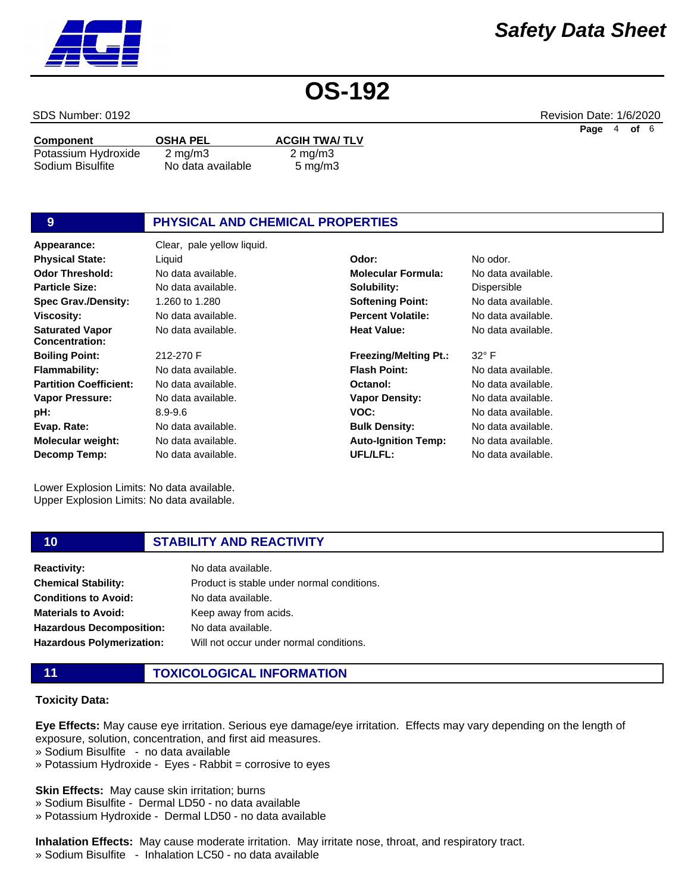# *Safety Data Sheet*

**OS-192**

**Solubility: Softening Point: Percent Volatile: Heat Value:**

**Flash Point: Octanol: Vapor Density:**

**Bulk Density: Auto-Ignition Temp:**

**UFL/LFL:**

**VOC:**

**Freezing/Melting Pt.:**

| Component           | <b>OSHA PEL</b>   | <b>ACGIH TWA/TLV</b> |
|---------------------|-------------------|----------------------|
| Potassium Hydroxide | $2 \text{ mg/m}$  | $2 \text{ mg/m}$ 3   |
| Sodium Bisulfite    | No data available | $5 \text{ mg/m}$ 3   |

# **9 PHYSICAL AND CHEMICAL PROPERTIES**

**Appearance:** Clear, pale yellow liquid. No data available. 1.260 to 1.280 No data available. No data available. 212-270 F No data available. No data available. No data available. 8.9-9.6 No data available. No data available. No data available. **Odor Threshold: Particle Size: Spec Grav./Density: Viscosity: Saturated Vapor Concentration: Boiling Point: Flammability: Partition Coefficient: Vapor Pressure: pH: Evap. Rate: Molecular weight: Decomp Temp: Physical State:** Liquid **Odor:** No odor.

Lower Explosion Limits: No data available. Upper Explosion Limits: No data available.

# **10 STABILITY AND REACTIVITY**

| <b>Reactivity:</b>              | No data available.                         |
|---------------------------------|--------------------------------------------|
| <b>Chemical Stability:</b>      | Product is stable under normal conditions. |
| <b>Conditions to Avoid:</b>     | No data available.                         |
| <b>Materials to Avoid:</b>      | Keep away from acids.                      |
| <b>Hazardous Decomposition:</b> | No data available.                         |
| Hazardous Polymerization:       | Will not occur under normal conditions.    |

# **11 TOXICOLOGICAL INFORMATION**

### **Toxicity Data:**

**Eye Effects:** May cause eye irritation. Serious eye damage/eye irritation. Effects may vary depending on the length of exposure, solution, concentration, and first aid measures.

- » Sodium Bisulfite no data available
- » Potassium Hydroxide Eyes Rabbit = corrosive to eyes

**Skin Effects:** May cause skin irritation; burns

- » Sodium Bisulfite Dermal LD50 no data available
- » Potassium Hydroxide Dermal LD50 no data available

**Inhalation Effects:** May cause moderate irritation. May irritate nose, throat, and respiratory tract.

» Sodium Bisulfite - Inhalation LC50 - no data available



SDS Number: 0192 **Revision Date: 1/6/2020** Revision Date: 1/6/2020 **Page** 4 **of** 6

No data available. **Molecular Formula:** No data available. Dispersible No data available. No data available. No data available.

32° F

No data available. No data available. No data available. No data available. No data available. No data available. No data available.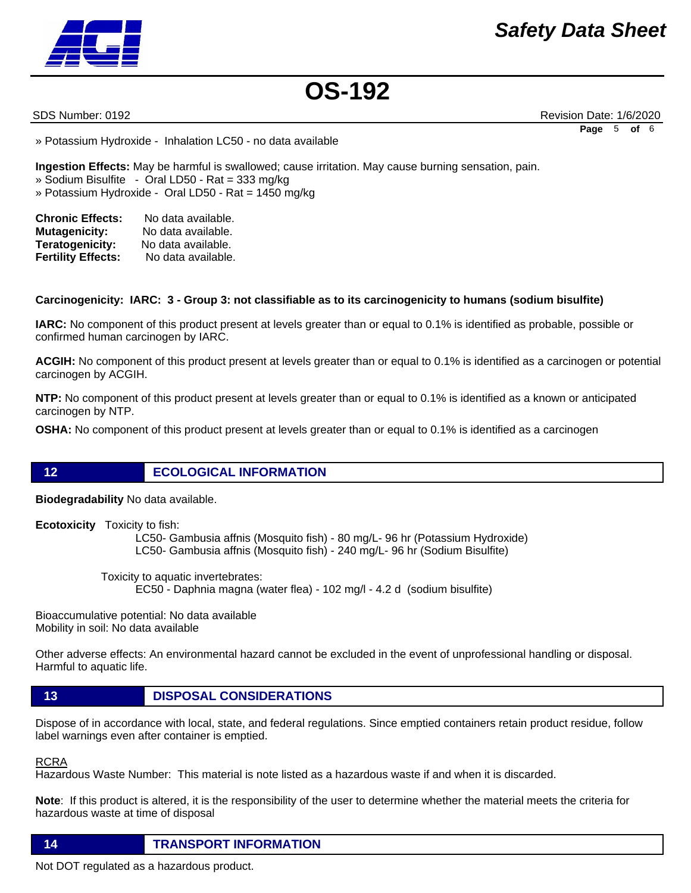

SDS Number: 0192 **Revision Date: 1/6/2020** Revision Date: 1/6/2020 **Page** 5 **of** 6

» Potassium Hydroxide - Inhalation LC50 - no data available

**Ingestion Effects:** May be harmful is swallowed; cause irritation. May cause burning sensation, pain. » Sodium Bisulfite - Oral LD50 - Rat = 333 mg/kg

» Potassium Hydroxide - Oral LD50 - Rat = 1450 mg/kg

| <b>Chronic Effects:</b>   | No data available. |  |
|---------------------------|--------------------|--|
| <b>Mutagenicity:</b>      | No data available. |  |
| Teratogenicity:           | No data available. |  |
| <b>Fertility Effects:</b> | No data available. |  |

### **Carcinogenicity: IARC: 3 - Group 3: not classifiable as to its carcinogenicity to humans (sodium bisulfite)**

**IARC:** No component of this product present at levels greater than or equal to 0.1% is identified as probable, possible or confirmed human carcinogen by IARC.

**ACGIH:** No component of this product present at levels greater than or equal to 0.1% is identified as a carcinogen or potential carcinogen by ACGIH.

**NTP:** No component of this product present at levels greater than or equal to 0.1% is identified as a known or anticipated carcinogen by NTP.

**OSHA:** No component of this product present at levels greater than or equal to 0.1% is identified as a carcinogen

**12 ECOLOGICAL INFORMATION** 

**Biodegradability** No data available.

**Ecotoxicity** Toxicity to fish:

 LC50- Gambusia affnis (Mosquito fish) - 80 mg/L- 96 hr (Potassium Hydroxide) LC50- Gambusia affnis (Mosquito fish) - 240 mg/L- 96 hr (Sodium Bisulfite)

 Toxicity to aquatic invertebrates: EC50 - Daphnia magna (water flea) - 102 mg/l - 4.2 d (sodium bisulfite)

Bioaccumulative potential: No data available Mobility in soil: No data available

Other adverse effects: An environmental hazard cannot be excluded in the event of unprofessional handling or disposal. Harmful to aquatic life.

# **13 DISPOSAL CONSIDERATIONS**

Dispose of in accordance with local, state, and federal regulations. Since emptied containers retain product residue, follow label warnings even after container is emptied.

RCRA

Hazardous Waste Number: This material is note listed as a hazardous waste if and when it is discarded.

**Note**: If this product is altered, it is the responsibility of the user to determine whether the material meets the criteria for hazardous waste at time of disposal

**14 TRANSPORT INFORMATION**

Not DOT regulated as a hazardous product.